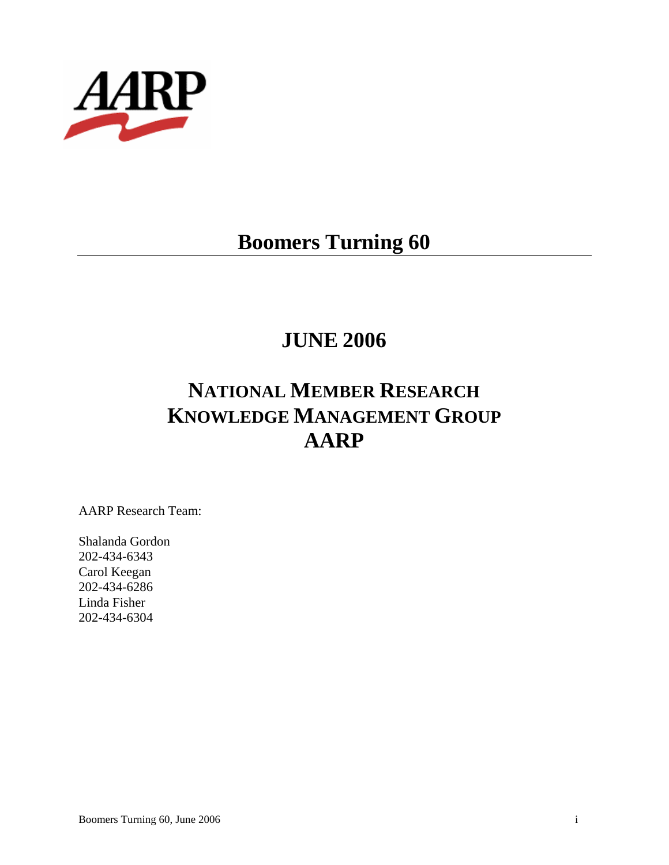

# **Boomers Turning 60**

# **JUNE 2006**

# **NATIONAL MEMBER RESEARCH KNOWLEDGE MANAGEMENT GROUP AARP**

AARP Research Team:

Shalanda Gordon 202-434-6343 Carol Keegan 202-434-6286 Linda Fisher 202-434-6304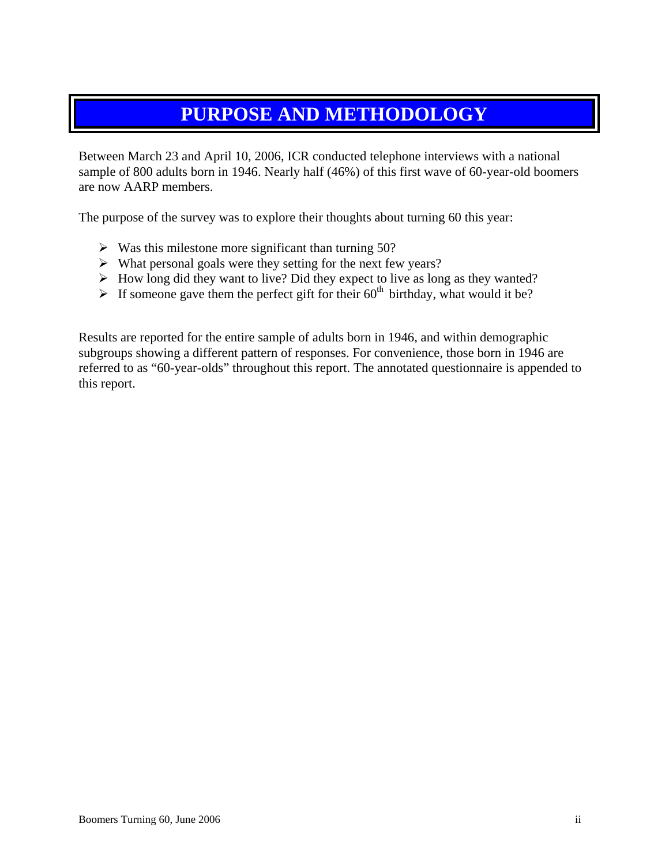# **PURPOSE AND METHODOLOGY**

Between March 23 and April 10, 2006, ICR conducted telephone interviews with a national sample of 800 adults born in 1946. Nearly half (46%) of this first wave of 60-year-old boomers are now AARP members.

The purpose of the survey was to explore their thoughts about turning 60 this year:

- $\triangleright$  Was this milestone more significant than turning 50?
- $\triangleright$  What personal goals were they setting for the next few years?
- $\triangleright$  How long did they want to live? Did they expect to live as long as they wanted?
- $\triangleright$  If someone gave them the perfect gift for their 60<sup>th</sup> birthday, what would it be?

Results are reported for the entire sample of adults born in 1946, and within demographic subgroups showing a different pattern of responses. For convenience, those born in 1946 are referred to as "60-year-olds" throughout this report. The annotated questionnaire is appended to this report.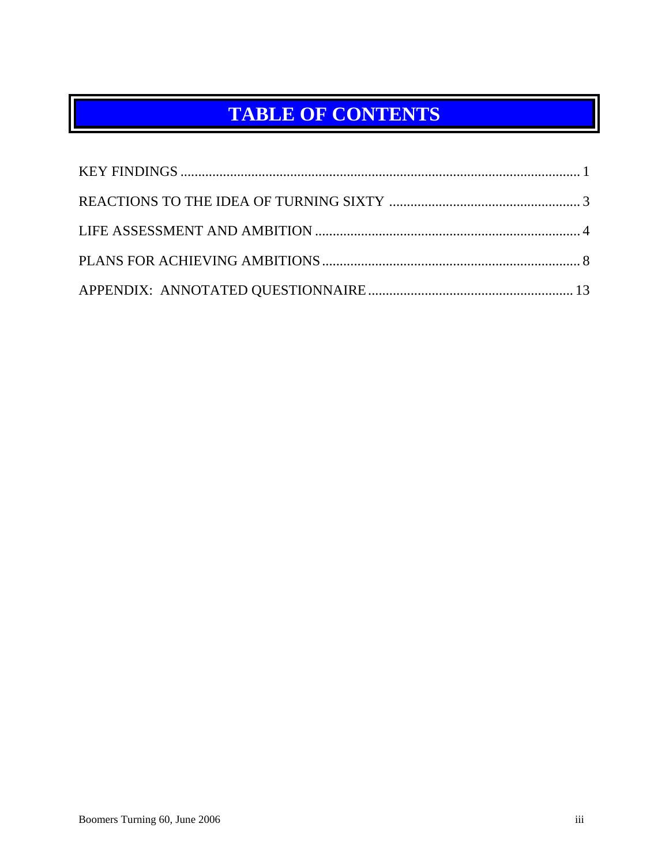# **TABLE OF CONTENTS**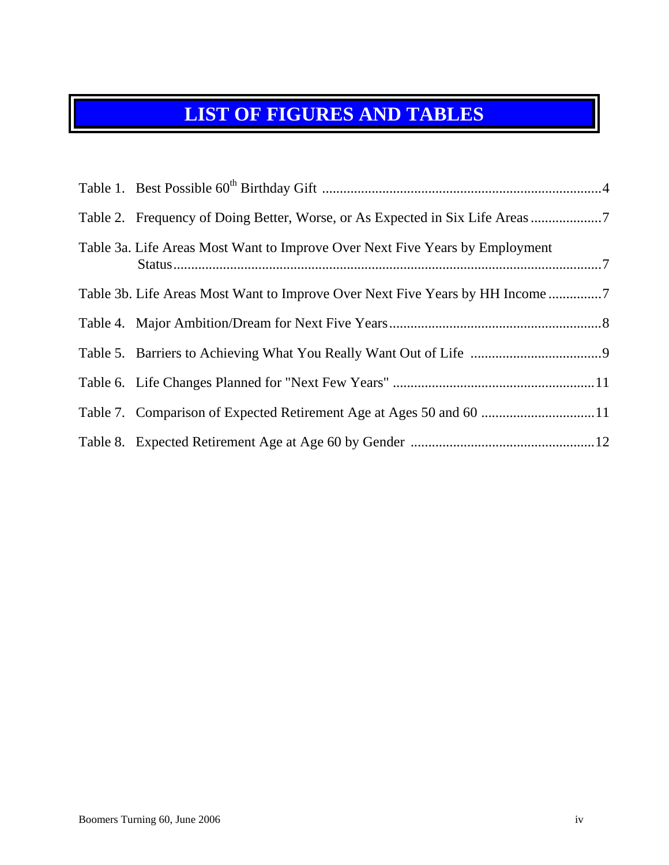# **LIST OF FIGURES AND TABLES**

| Table 2. Frequency of Doing Better, Worse, or As Expected in Six Life Areas 7 |
|-------------------------------------------------------------------------------|
| Table 3a. Life Areas Most Want to Improve Over Next Five Years by Employment  |
| Table 3b. Life Areas Most Want to Improve Over Next Five Years by HH Income   |
|                                                                               |
|                                                                               |
|                                                                               |
|                                                                               |
|                                                                               |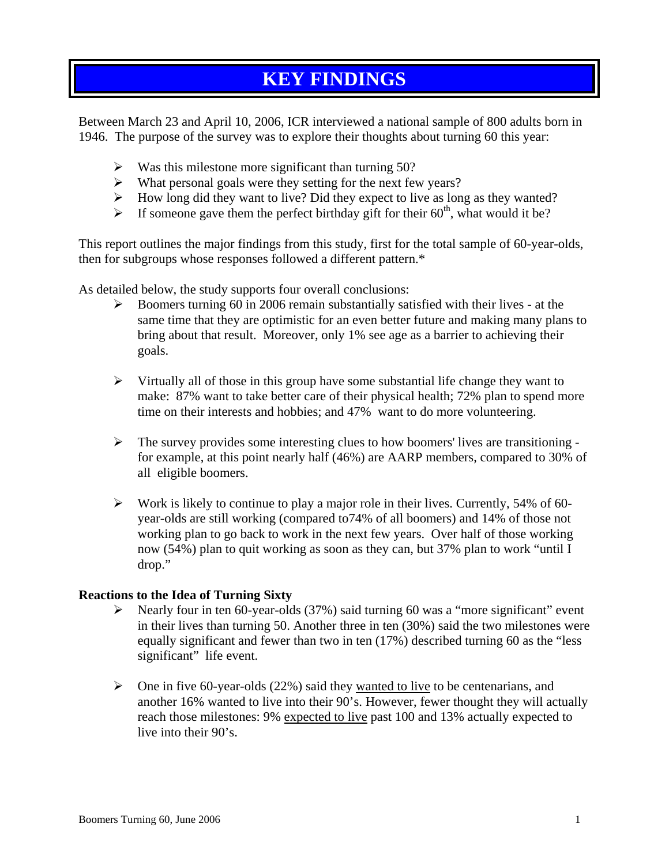## **KEY FINDINGS**

<span id="page-4-0"></span>Between March 23 and April 10, 2006, ICR interviewed a national sample of 800 adults born in 1946. The purpose of the survey was to explore their thoughts about turning 60 this year:

- $\triangleright$  Was this milestone more significant than turning 50?
- $\triangleright$  What personal goals were they setting for the next few years?
- $\blacktriangleright$  How long did they want to live? Did they expect to live as long as they wanted?
- $\triangleright$  If someone gave them the perfect birthday gift for their 60<sup>th</sup>, what would it be?

This report outlines the major findings from this study, first for the total sample of 60-year-olds, then for subgroups whose responses followed a different pattern.\*

As detailed below, the study supports four overall conclusions:

- $\triangleright$  Boomers turning 60 in 2006 remain substantially satisfied with their lives at the same time that they are optimistic for an even better future and making many plans to bring about that result. Moreover, only 1% see age as a barrier to achieving their goals.
- $\triangleright$  Virtually all of those in this group have some substantial life change they want to make: 87% want to take better care of their physical health; 72% plan to spend more time on their interests and hobbies; and 47% want to do more volunteering.
- $\triangleright$  The survey provides some interesting clues to how boomers' lives are transitioning for example, at this point nearly half (46%) are AARP members, compared to 30% of all eligible boomers.
- $\triangleright$  Work is likely to continue to play a major role in their lives. Currently, 54% of 60year-olds are still working (compared to74% of all boomers) and 14% of those not working plan to go back to work in the next few years. Over half of those working now (54%) plan to quit working as soon as they can, but 37% plan to work "until I drop."

#### **Reactions to the Idea of Turning Sixty**

- ¾ Nearly four in ten 60-year-olds (37%) said turning 60 was a "more significant" event in their lives than turning 50. Another three in ten (30%) said the two milestones were equally significant and fewer than two in ten (17%) described turning 60 as the "less significant" life event.
- $\triangleright$  One in five 60-year-olds (22%) said they wanted to live to be centenarians, and another 16% wanted to live into their 90's. However, fewer thought they will actually reach those milestones: 9% expected to live past 100 and 13% actually expected to live into their 90's.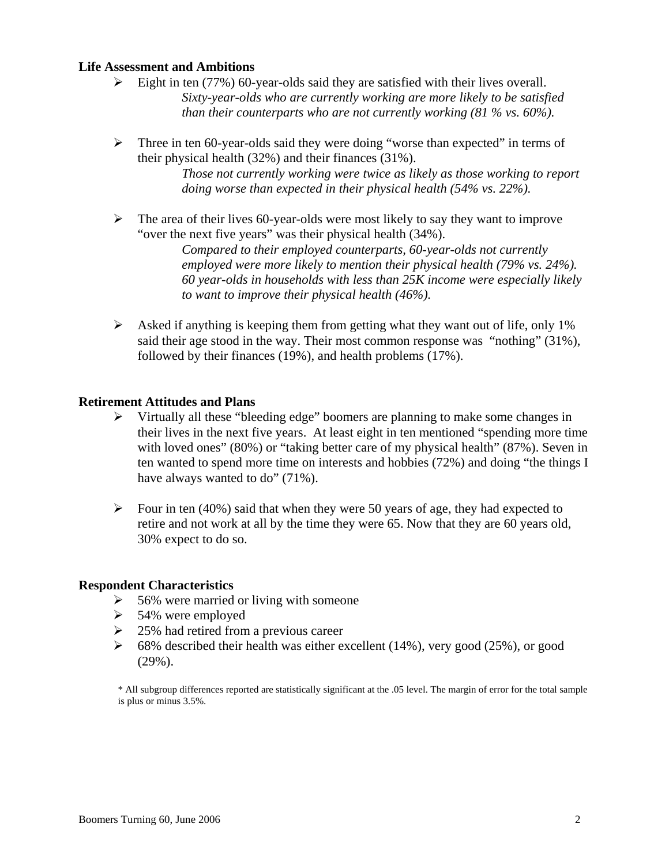#### **Life Assessment and Ambitions**

- $\triangleright$  Eight in ten (77%) 60-year-olds said they are satisfied with their lives overall. *Sixty-year-olds who are currently working are more likely to be satisfied than their counterparts who are not currently working (81 % vs. 60%).*
- $\triangleright$  Three in ten 60-year-olds said they were doing "worse than expected" in terms of their physical health (32%) and their finances (31%).

*Those not currently working were twice as likely as those working to report doing worse than expected in their physical health (54% vs. 22%).* 

 $\triangleright$  The area of their lives 60-year-olds were most likely to say they want to improve "over the next five years" was their physical health (34%).

> *Compared to their employed counterparts, 60-year-olds not currently employed were more likely to mention their physical health (79% vs. 24%). 60 year-olds in households with less than 25K income were especially likely to want to improve their physical health (46%).*

 $\triangleright$  Asked if anything is keeping them from getting what they want out of life, only 1% said their age stood in the way. Their most common response was "nothing" (31%), followed by their finances (19%), and health problems (17%).

#### **Retirement Attitudes and Plans**

- $\triangleright$  Virtually all these "bleeding edge" boomers are planning to make some changes in their lives in the next five years. At least eight in ten mentioned "spending more time with loved ones" (80%) or "taking better care of my physical health" (87%). Seven in ten wanted to spend more time on interests and hobbies (72%) and doing "the things I have always wanted to do" (71%).
- $\triangleright$  Four in ten (40%) said that when they were 50 years of age, they had expected to retire and not work at all by the time they were 65. Now that they are 60 years old, 30% expect to do so.

#### **Respondent Characteristics**

- $\geq$  56% were married or living with someone
- $\geq$  54% were employed
- $\geq$  25% had retired from a previous career
- $\geq$  68% described their health was either excellent (14%), very good (25%), or good (29%).

\* All subgroup differences reported are statistically significant at the .05 level. The margin of error for the total sample is plus or minus 3.5%.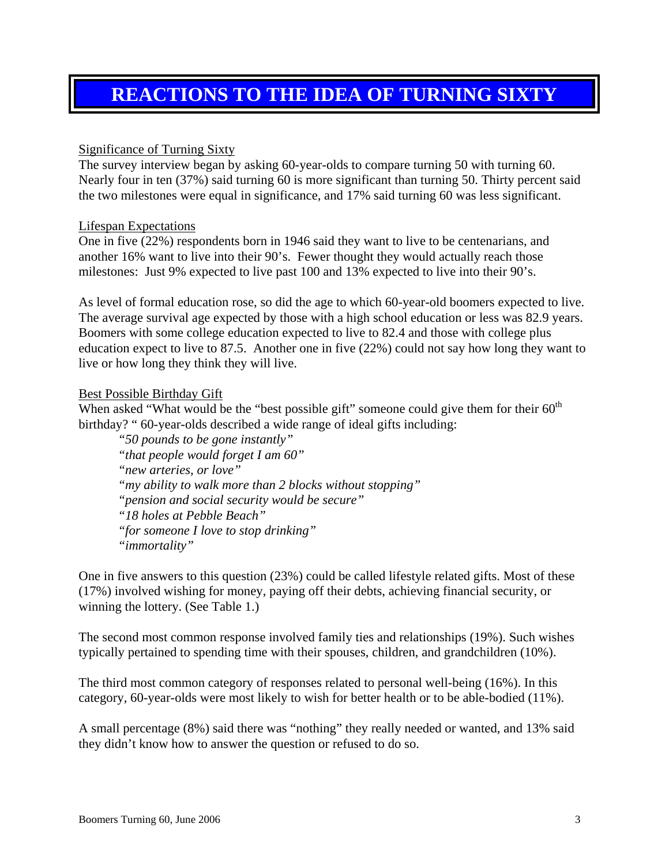## <span id="page-6-0"></span>**REACTIONS TO THE IDEA OF TURNING SIXTY**

#### Significance of Turning Sixty

The survey interview began by asking 60-year-olds to compare turning 50 with turning 60. Nearly four in ten (37%) said turning 60 is more significant than turning 50. Thirty percent said the two milestones were equal in significance, and 17% said turning 60 was less significant.

#### Lifespan Expectations

One in five (22%) respondents born in 1946 said they want to live to be centenarians, and another 16% want to live into their 90's. Fewer thought they would actually reach those milestones: Just 9% expected to live past 100 and 13% expected to live into their 90's.

As level of formal education rose, so did the age to which 60-year-old boomers expected to live. The average survival age expected by those with a high school education or less was 82.9 years. Boomers with some college education expected to live to 82.4 and those with college plus education expect to live to 87.5. Another one in five (22%) could not say how long they want to live or how long they think they will live.

#### Best Possible Birthday Gift

When asked "What would be the "best possible gift" someone could give them for their  $60<sup>th</sup>$ birthday? " 60-year-olds described a wide range of ideal gifts including:

*"50 pounds to be gone instantly" "that people would forget I am 60" "new arteries, or love" "my ability to walk more than 2 blocks without stopping" "pension and social security would be secure" "18 holes at Pebble Beach" "for someone I love to stop drinking" "immortality"* 

One in five answers to this question (23%) could be called lifestyle related gifts. Most of these (17%) involved wishing for money, paying off their debts, achieving financial security, or winning the lottery. (See Table 1.)

The second most common response involved family ties and relationships (19%). Such wishes typically pertained to spending time with their spouses, children, and grandchildren (10%).

The third most common category of responses related to personal well-being (16%). In this category, 60-year-olds were most likely to wish for better health or to be able-bodied (11%).

A small percentage (8%) said there was "nothing" they really needed or wanted, and 13% said they didn't know how to answer the question or refused to do so.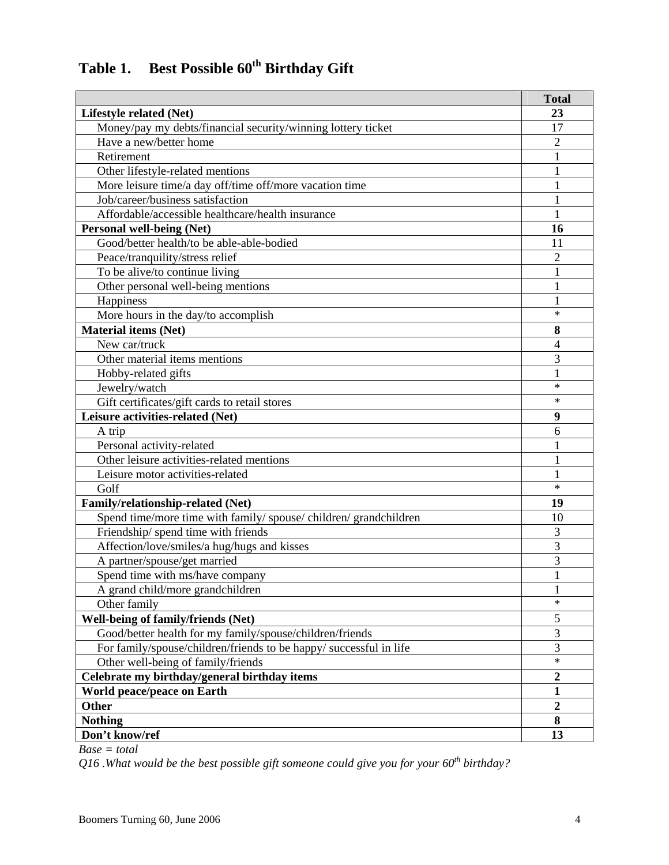|  | Table 1. Best Possible 60 <sup>th</sup> Birthday Gift |  |
|--|-------------------------------------------------------|--|
|--|-------------------------------------------------------|--|

|                                                                    | <b>Total</b>   |
|--------------------------------------------------------------------|----------------|
| Lifestyle related (Net)                                            | 23             |
| Money/pay my debts/financial security/winning lottery ticket       | 17             |
| Have a new/better home                                             | 2              |
| Retirement                                                         |                |
| Other lifestyle-related mentions                                   | 1              |
| More leisure time/a day off/time off/more vacation time            | 1              |
| Job/career/business satisfaction                                   | 1              |
| Affordable/accessible healthcare/health insurance                  | 1              |
| <b>Personal well-being (Net)</b>                                   | 16             |
| Good/better health/to be able-able-bodied                          | 11             |
| Peace/tranquility/stress relief                                    | $\overline{c}$ |
| To be alive/to continue living                                     |                |
| Other personal well-being mentions                                 |                |
| Happiness                                                          |                |
| More hours in the day/to accomplish                                | $\ast$         |
| <b>Material items (Net)</b>                                        | 8              |
| New car/truck                                                      | 4              |
| Other material items mentions                                      | 3              |
| Hobby-related gifts                                                |                |
| Jewelry/watch                                                      | $\ast$         |
| Gift certificates/gift cards to retail stores                      | $\ast$         |
| Leisure activities-related (Net)                                   | 9              |
| A trip                                                             | 6              |
| Personal activity-related                                          |                |
| Other leisure activities-related mentions                          | 1              |
| Leisure motor activities-related                                   |                |
| Golf                                                               | $\ast$         |
| Family/relationship-related (Net)                                  | 19             |
| Spend time/more time with family/ spouse/ children/ grandchildren  | 10             |
| Friendship/ spend time with friends                                | 3              |
| Affection/love/smiles/a hug/hugs and kisses                        | $\overline{3}$ |
| A partner/spouse/get married                                       | 3              |
| Spend time with ms/have company                                    | 1              |
| A grand child/more grandchildren                                   | $\mathbf{1}$   |
| Other family                                                       | $\ast$         |
| <b>Well-being of family/friends (Net)</b>                          | 5              |
| Good/better health for my family/spouse/children/friends           | 3              |
| For family/spouse/children/friends to be happy/ successful in life | 3              |
| Other well-being of family/friends                                 | $\ast$         |
| Celebrate my birthday/general birthday items                       | $\overline{2}$ |
| <b>World peace/peace on Earth</b>                                  | $\mathbf{1}$   |
| Other                                                              | $\overline{2}$ |
| <b>Nothing</b>                                                     | 8              |
| Don't know/ref                                                     | 13             |

*Base = total* 

*Q16 .What would be the best possible gift someone could give you for your 60th birthday?*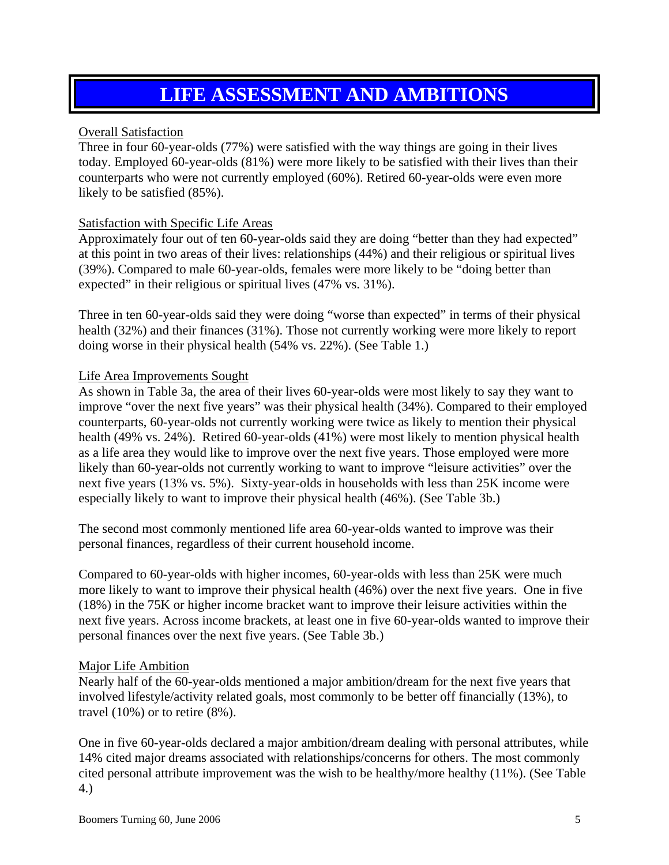## **LIFE ASSESSMENT AND AMBITIONS**

#### <span id="page-8-0"></span>Overall Satisfaction

Three in four 60-year-olds (77%) were satisfied with the way things are going in their lives today. Employed 60-year-olds (81%) were more likely to be satisfied with their lives than their counterparts who were not currently employed (60%). Retired 60-year-olds were even more likely to be satisfied (85%).

#### Satisfaction with Specific Life Areas

Approximately four out of ten 60-year-olds said they are doing "better than they had expected" at this point in two areas of their lives: relationships (44%) and their religious or spiritual lives (39%). Compared to male 60-year-olds, females were more likely to be "doing better than expected" in their religious or spiritual lives (47% vs. 31%).

Three in ten 60-year-olds said they were doing "worse than expected" in terms of their physical health (32%) and their finances (31%). Those not currently working were more likely to report doing worse in their physical health (54% vs. 22%). (See Table 1.)

#### Life Area Improvements Sought

As shown in Table 3a, the area of their lives 60-year-olds were most likely to say they want to improve "over the next five years" was their physical health (34%). Compared to their employed counterparts, 60-year-olds not currently working were twice as likely to mention their physical health (49% vs. 24%). Retired 60-year-olds (41%) were most likely to mention physical health as a life area they would like to improve over the next five years. Those employed were more likely than 60-year-olds not currently working to want to improve "leisure activities" over the next five years (13% vs. 5%). Sixty-year-olds in households with less than 25K income were especially likely to want to improve their physical health (46%). (See Table 3b.)

The second most commonly mentioned life area 60-year-olds wanted to improve was their personal finances, regardless of their current household income.

Compared to 60-year-olds with higher incomes, 60-year-olds with less than 25K were much more likely to want to improve their physical health (46%) over the next five years. One in five (18%) in the 75K or higher income bracket want to improve their leisure activities within the next five years. Across income brackets, at least one in five 60-year-olds wanted to improve their personal finances over the next five years. (See Table 3b.)

#### Major Life Ambition

Nearly half of the 60-year-olds mentioned a major ambition/dream for the next five years that involved lifestyle/activity related goals, most commonly to be better off financially (13%), to travel (10%) or to retire (8%).

One in five 60-year-olds declared a major ambition/dream dealing with personal attributes, while 14% cited major dreams associated with relationships/concerns for others. The most commonly cited personal attribute improvement was the wish to be healthy/more healthy (11%). (See Table 4.)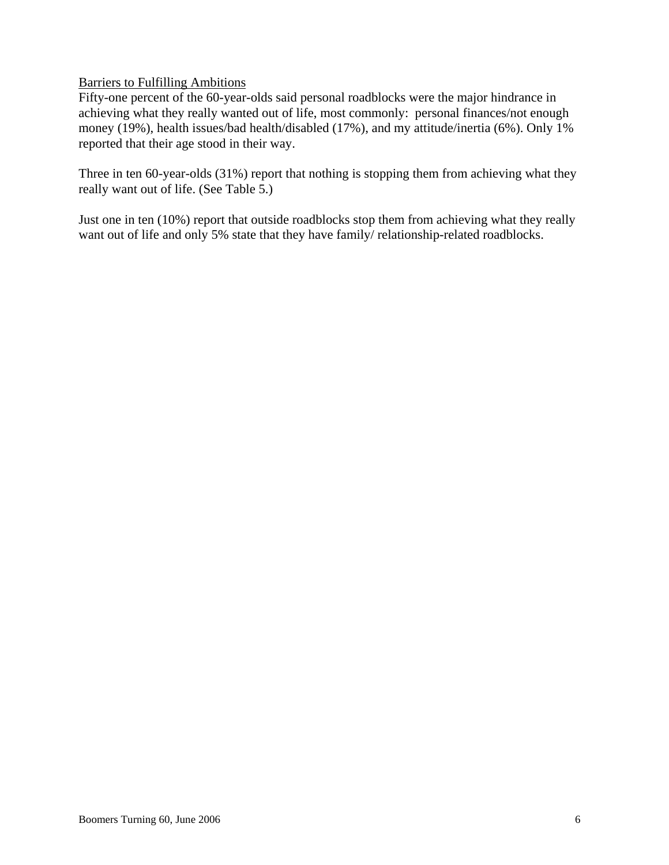Barriers to Fulfilling Ambitions

Fifty-one percent of the 60-year-olds said personal roadblocks were the major hindrance in achieving what they really wanted out of life, most commonly: personal finances/not enough money (19%), health issues/bad health/disabled (17%), and my attitude/inertia (6%). Only 1% reported that their age stood in their way.

Three in ten 60-year-olds (31%) report that nothing is stopping them from achieving what they really want out of life. (See Table 5.)

Just one in ten (10%) report that outside roadblocks stop them from achieving what they really want out of life and only 5% state that they have family/ relationship-related roadblocks.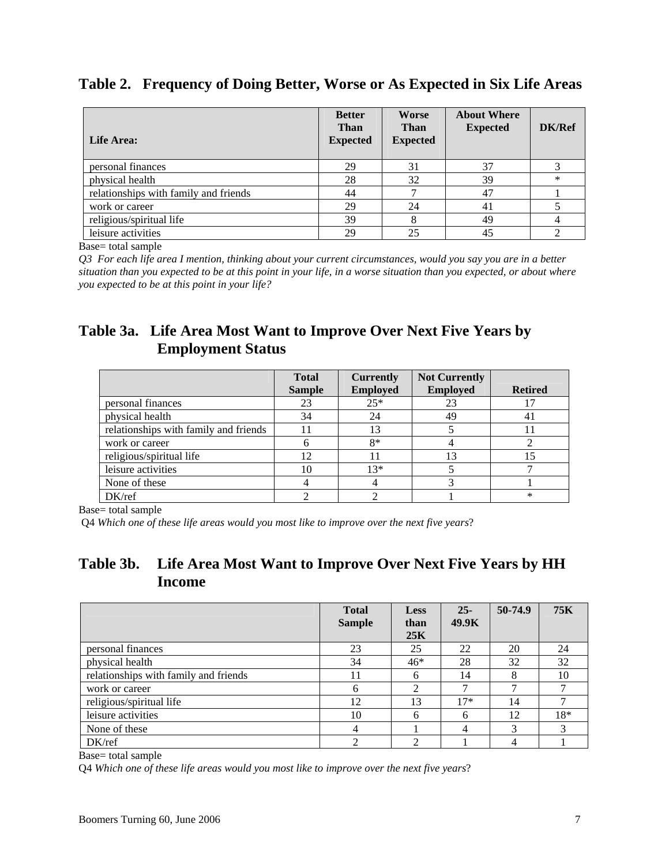|  |  | Table 2. Frequency of Doing Better, Worse or As Expected in Six Life Areas |
|--|--|----------------------------------------------------------------------------|
|  |  |                                                                            |

| <b>Life Area:</b>                     | <b>Better</b><br><b>Than</b><br><b>Expected</b> | <b>Worse</b><br><b>Than</b><br><b>Expected</b> | <b>About Where</b><br><b>Expected</b> | DK/Ref |
|---------------------------------------|-------------------------------------------------|------------------------------------------------|---------------------------------------|--------|
| personal finances                     | 29                                              | 31                                             | 37                                    |        |
| physical health                       | 28                                              | 32                                             | 39                                    | $\ast$ |
| relationships with family and friends | 44                                              |                                                | 47                                    |        |
| work or career                        | 29                                              | 24                                             | 41                                    |        |
| religious/spiritual life              | 39                                              | 8                                              | 49                                    |        |
| leisure activities                    | 29                                              | 25                                             | 45                                    |        |

Base= total sample

*Q3 For each life area I mention, thinking about your current circumstances, would you say you are in a better situation than you expected to be at this point in your life, in a worse situation than you expected, or about where you expected to be at this point in your life?* 

### **Table 3a. Life Area Most Want to Improve Over Next Five Years by Employment Status**

|                                       | <b>Total</b><br><b>Sample</b> | <b>Currently</b><br><b>Employed</b> | <b>Not Currently</b><br><b>Employed</b> | <b>Retired</b> |
|---------------------------------------|-------------------------------|-------------------------------------|-----------------------------------------|----------------|
| personal finances                     | 23                            | $25*$                               | 23                                      |                |
| physical health                       | 34                            | 24                                  | 49                                      | 41             |
| relationships with family and friends |                               | 13                                  |                                         |                |
| work or career                        |                               | $8*$                                |                                         |                |
| religious/spiritual life              | 12                            | 11                                  | 13                                      |                |
| leisure activities                    | 10                            | $13*$                               |                                         |                |
| None of these                         |                               |                                     |                                         |                |
| DK/ref                                |                               |                                     |                                         | $\ast$         |

Base= total sample

Q4 *Which one of these life areas would you most like to improve over the next five years*?

### **Table 3b. Life Area Most Want to Improve Over Next Five Years by HH Income**

|                                       | <b>Total</b>  | <b>Less</b> | $25 -$ | 50-74.9 | <b>75K</b> |
|---------------------------------------|---------------|-------------|--------|---------|------------|
|                                       | <b>Sample</b> | than        | 49.9K  |         |            |
|                                       |               | 25K         |        |         |            |
| personal finances                     | 23            | 25          | 22     | 20      | 24         |
| physical health                       | 34            | $46*$       | 28     | 32      | 32         |
| relationships with family and friends | 11            | 6           | 14     | 8       | 10         |
| work or career                        | 6             | ∍           | ⇁      | ⇁       |            |
| religious/spiritual life              | 12            | 13          | $17*$  | 14      |            |
| leisure activities                    | 10            | 6           | -6     | 12      | 18*        |
| None of these                         | 4             |             | 4      | 3       | 3          |
| DK/ref                                | ◠             | ◠           |        | 4       |            |

Base= total sample

Q4 *Which one of these life areas would you most like to improve over the next five years*?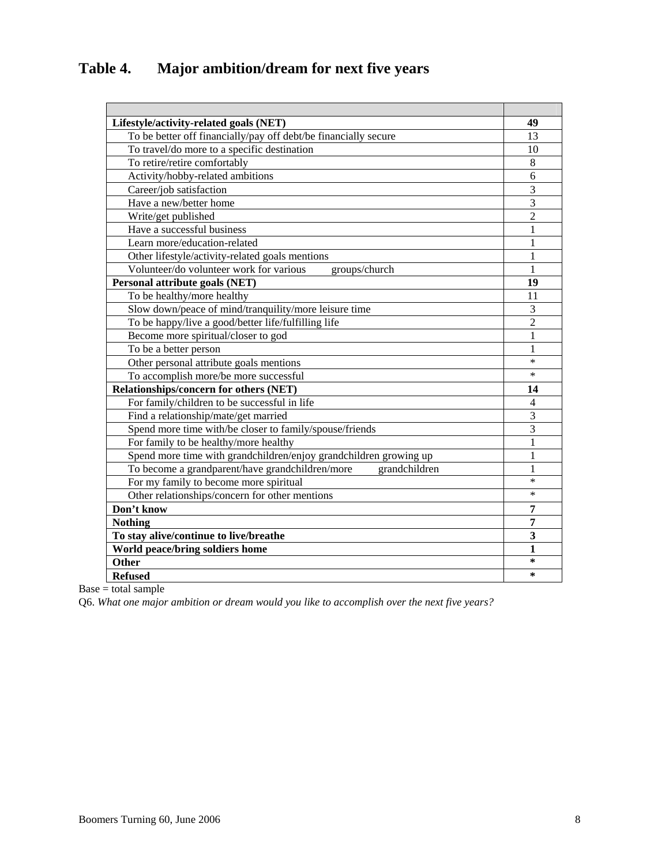### **Table 4. Major ambition/dream for next five years**

| Lifestyle/activity-related goals (NET)                            | 49             |
|-------------------------------------------------------------------|----------------|
| To be better off financially/pay off debt/be financially secure   | 13             |
| To travel/do more to a specific destination                       | 10             |
| To retire/retire comfortably                                      | 8              |
| Activity/hobby-related ambitions                                  | 6              |
| Career/job satisfaction                                           | 3              |
| Have a new/better home                                            | $\overline{3}$ |
| Write/get published                                               | $\overline{2}$ |
| Have a successful business                                        | 1              |
| Learn more/education-related                                      | 1              |
| Other lifestyle/activity-related goals mentions                   | 1              |
| Volunteer/do volunteer work for various<br>groups/church          | 1              |
| Personal attribute goals (NET)                                    | 19             |
| To be healthy/more healthy                                        | 11             |
| Slow down/peace of mind/tranquility/more leisure time             | 3              |
| To be happy/live a good/better life/fulfilling life               | $\overline{2}$ |
| Become more spiritual/closer to god                               | $\mathbf{1}$   |
| To be a better person                                             | 1              |
| Other personal attribute goals mentions                           | $\ast$         |
| To accomplish more/be more successful                             | $\ast$         |
| Relationships/concern for others (NET)                            | 14             |
| For family/children to be successful in life                      | $\overline{4}$ |
| Find a relationship/mate/get married                              | 3              |
| Spend more time with/be closer to family/spouse/friends           | 3              |
| For family to be healthy/more healthy                             | 1              |
| Spend more time with grandchildren/enjoy grandchildren growing up | 1              |
| To become a grandparent/have grandchildren/more<br>grandchildren  | 1              |
| For my family to become more spiritual                            | $\ast$         |
| Other relationships/concern for other mentions                    | $\ast$         |
| Don't know                                                        | 7              |
| <b>Nothing</b>                                                    | 7              |
| To stay alive/continue to live/breathe                            | 3              |
| World peace/bring soldiers home                                   | 1              |
| <b>Other</b>                                                      | $\star$        |
| <b>Refused</b>                                                    | $\ast$         |

 $Base = total sample$ 

Q6. *What one major ambition or dream would you like to accomplish over the next five years?*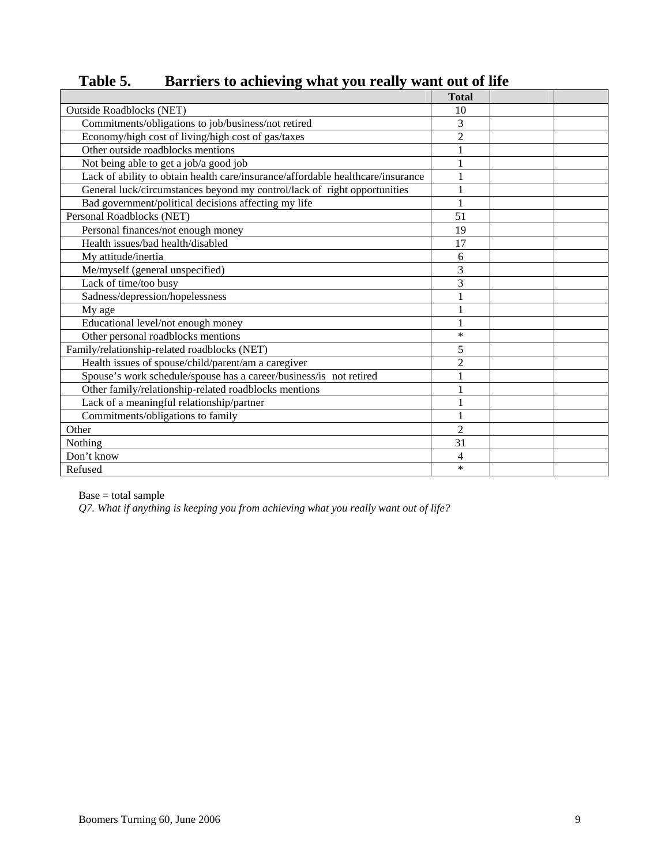|                                                                                 | <b>Total</b>   |  |
|---------------------------------------------------------------------------------|----------------|--|
| <b>Outside Roadblocks (NET)</b>                                                 | 10             |  |
| Commitments/obligations to job/business/not retired                             | 3              |  |
| Economy/high cost of living/high cost of gas/taxes                              | $\overline{2}$ |  |
| Other outside roadblocks mentions                                               |                |  |
| Not being able to get a job/a good job                                          | 1              |  |
| Lack of ability to obtain health care/insurance/affordable healthcare/insurance |                |  |
| General luck/circumstances beyond my control/lack of right opportunities        |                |  |
| Bad government/political decisions affecting my life                            |                |  |
| Personal Roadblocks (NET)                                                       | 51             |  |
| Personal finances/not enough money                                              | 19             |  |
| Health issues/bad health/disabled                                               | 17             |  |
| My attitude/inertia                                                             | 6              |  |
| Me/myself (general unspecified)                                                 | 3              |  |
| Lack of time/too busy                                                           | 3              |  |
| Sadness/depression/hopelessness                                                 |                |  |
| My age                                                                          | 1              |  |
| Educational level/not enough money                                              |                |  |
| Other personal roadblocks mentions                                              | $\ast$         |  |
| Family/relationship-related roadblocks (NET)                                    | 5              |  |
| Health issues of spouse/child/parent/am a caregiver                             | $\overline{c}$ |  |
| Spouse's work schedule/spouse has a career/business/is not retired              |                |  |
| Other family/relationship-related roadblocks mentions                           |                |  |
| Lack of a meaningful relationship/partner                                       | 1              |  |
| Commitments/obligations to family                                               |                |  |
| Other                                                                           | $\overline{2}$ |  |
| Nothing                                                                         | 31             |  |
| Don't know                                                                      | 4              |  |
| Refused                                                                         | $\ast$         |  |

Table 5. Barriers to achieving what you really want out of life

Base = total sample

*Q7. What if anything is keeping you from achieving what you really want out of life?*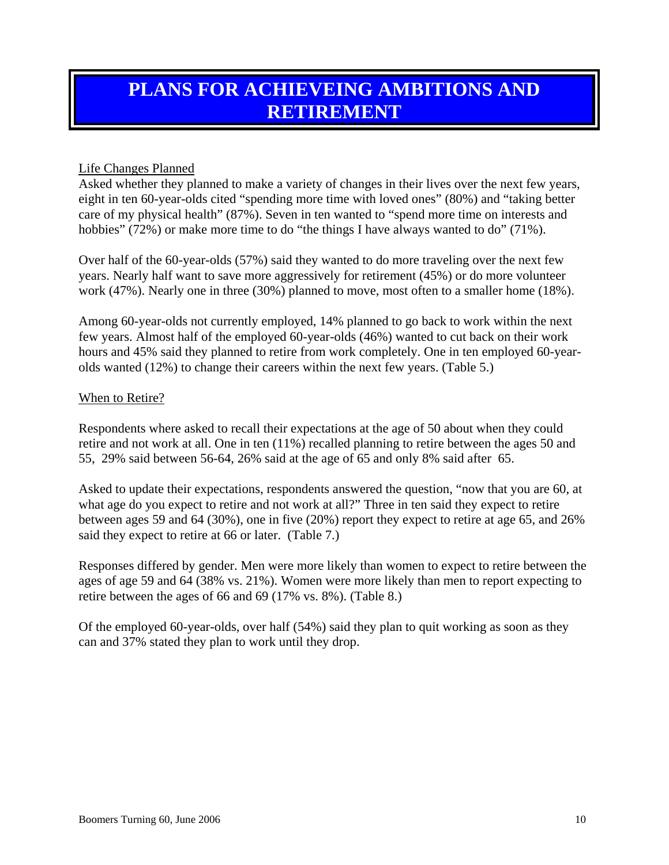## <span id="page-13-0"></span>**PLANS FOR ACHIEVEING AMBITIONS AND RETIREMENT**

#### Life Changes Planned

Asked whether they planned to make a variety of changes in their lives over the next few years, eight in ten 60-year-olds cited "spending more time with loved ones" (80%) and "taking better care of my physical health" (87%). Seven in ten wanted to "spend more time on interests and hobbies" (72%) or make more time to do "the things I have always wanted to do" (71%).

Over half of the 60-year-olds (57%) said they wanted to do more traveling over the next few years. Nearly half want to save more aggressively for retirement (45%) or do more volunteer work (47%). Nearly one in three (30%) planned to move, most often to a smaller home (18%).

Among 60-year-olds not currently employed, 14% planned to go back to work within the next few years. Almost half of the employed 60-year-olds (46%) wanted to cut back on their work hours and 45% said they planned to retire from work completely. One in ten employed 60-yearolds wanted (12%) to change their careers within the next few years. (Table 5.)

#### When to Retire?

Respondents where asked to recall their expectations at the age of 50 about when they could retire and not work at all. One in ten (11%) recalled planning to retire between the ages 50 and 55, 29% said between 56-64, 26% said at the age of 65 and only 8% said after 65.

Asked to update their expectations, respondents answered the question, "now that you are 60, at what age do you expect to retire and not work at all?" Three in ten said they expect to retire between ages 59 and 64 (30%), one in five (20%) report they expect to retire at age 65, and 26% said they expect to retire at 66 or later. (Table 7.)

Responses differed by gender. Men were more likely than women to expect to retire between the ages of age 59 and 64 (38% vs. 21%). Women were more likely than men to report expecting to retire between the ages of 66 and 69 (17% vs. 8%). (Table 8.)

Of the employed 60-year-olds, over half (54%) said they plan to quit working as soon as they can and 37% stated they plan to work until they drop.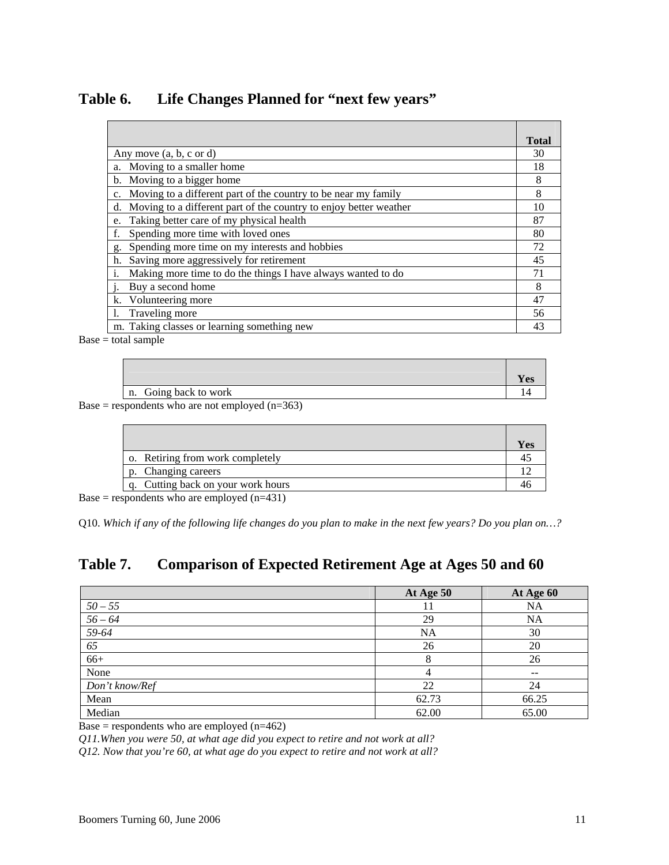| Table 6. | Life Changes Planned for "next few years" |  |  |
|----------|-------------------------------------------|--|--|
|          |                                           |  |  |

|                                                                               | <b>Total</b> |
|-------------------------------------------------------------------------------|--------------|
| Any move $(a, b, c \text{ or } d)$                                            | 30           |
| a. Moving to a smaller home                                                   | 18           |
| b. Moving to a bigger home                                                    | 8            |
| Moving to a different part of the country to be near my family<br>$c_{\cdot}$ | 8            |
| Moving to a different part of the country to enjoy better weather<br>d.       | 10           |
| Taking better care of my physical health<br>e.                                | 87           |
| Spending more time with loved ones<br>f.                                      | 80           |
| Spending more time on my interests and hobbies<br>g.                          | 72           |
| Saving more aggressively for retirement<br>h.                                 | 45           |
| Making more time to do the things I have always wanted to do<br>i.            | 71           |
| Buy a second home                                                             | 8            |
| Volunteering more<br>k.                                                       | 47           |
| Traveling more                                                                | 56           |
| m. Taking classes or learning something new                                   | 43           |

Base = total sample

|                       | es) |
|-----------------------|-----|
| n. Going back to work |     |

Base = respondents who are not employed  $(n=363)$ 

|                                  | Y es |
|----------------------------------|------|
| o. Retiring from work completely |      |
| Changing careers                 |      |
| Cutting back on your work hours  |      |

Base = respondents who are employed  $(n=431)$ 

Q10. *Which if any of the following life changes do you plan to make in the next few years? Do you plan on…?* 

### **Table 7. Comparison of Expected Retirement Age at Ages 50 and 60**

|                | At Age 50 | At Age 60         |
|----------------|-----------|-------------------|
| $50 - 55$      |           | <b>NA</b>         |
| $56 - 64$      | 29        | <b>NA</b>         |
| 59-64          | <b>NA</b> | 30                |
| 65             | 26        | 20                |
| $66+$          |           | 26                |
| None           |           | $\qquad \qquad -$ |
| Don't know/Ref | 22        | 24                |
| Mean           | 62.73     | 66.25             |
| Median         | 62.00     | 65.00             |

Base = respondents who are employed  $(n=462)$ 

 *Q11.When you were 50, at what age did you expect to retire and not work at all?* 

 *Q12. Now that you're 60, at what age do you expect to retire and not work at all?*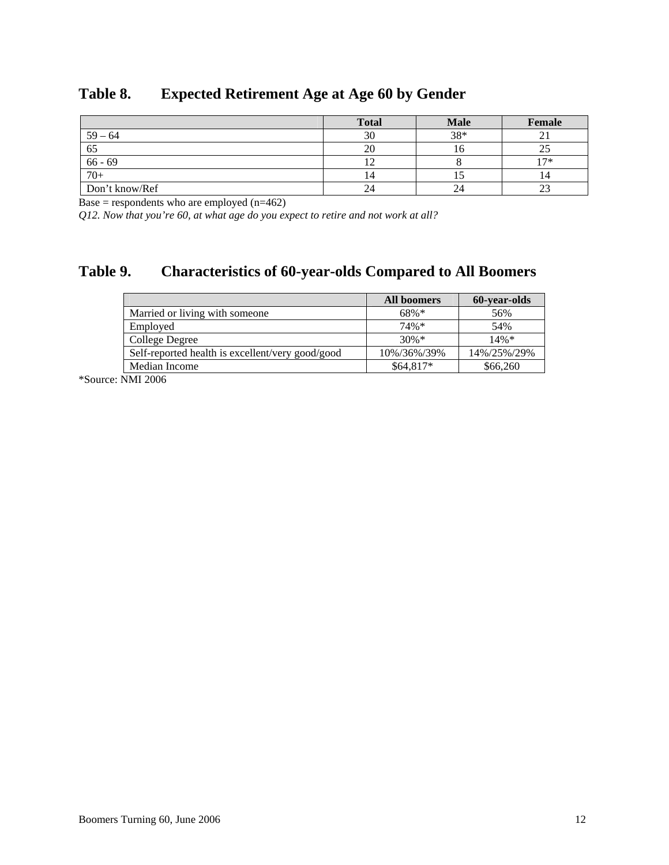|                | <b>Total</b> | <b>Male</b> | Female |
|----------------|--------------|-------------|--------|
| $59 - 64$      | 30           | 38*         |        |
| 65             | ZU.          | 10          |        |
| $66 - 69$      |              |             | $17*$  |
| $70+$          | 14           | IJ          | 14     |
| Don't know/Ref |              | 24          | ل کے   |

### **Table 8. Expected Retirement Age at Age 60 by Gender**

Base = respondents who are employed  $(n=462)$ 

 *Q12. Now that you're 60, at what age do you expect to retire and not work at all?* 

### **Table 9. Characteristics of 60-year-olds Compared to All Boomers**

|                                                  | All boomers | <b>60-year-olds</b> |
|--------------------------------------------------|-------------|---------------------|
| Married or living with someone                   | $68\%*$     | 56%                 |
| Employed                                         | $74\%*$     | 54%                 |
| College Degree                                   | $30\%*$     | $14\%*$             |
| Self-reported health is excellent/very good/good | 10%/36%/39% | 14%/25%/29%         |
| Median Income                                    | $$64.817*$  | \$66,260            |

\*Source: NMI 2006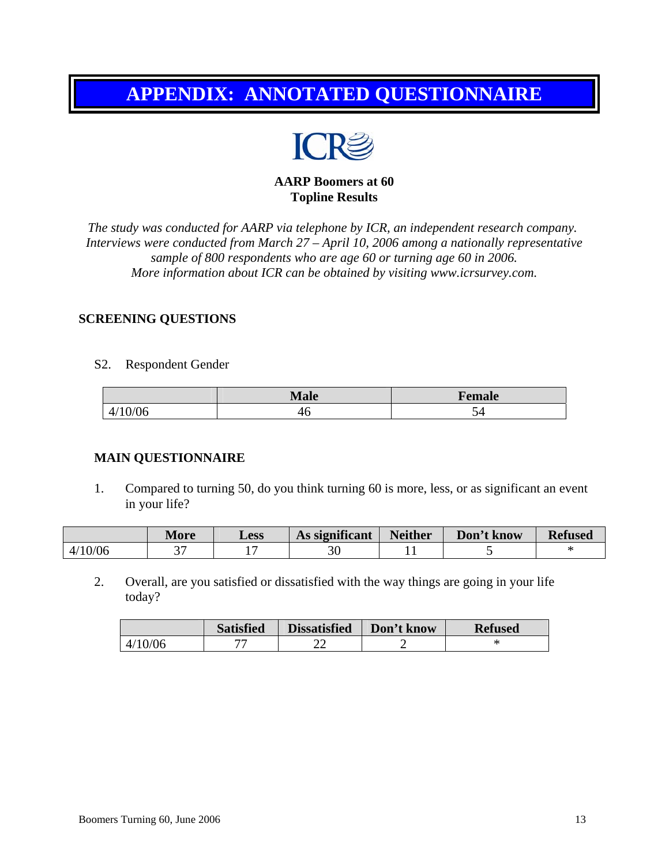## <span id="page-16-0"></span>**APPENDIX: ANNOTATED QUESTIONNAIRE**



**AARP Boomers at 60 Topline Results** 

*The study was conducted for AARP via telephone by ICR, an independent research company. Interviews were conducted from March 27 – April 10, 2006 among a nationally representative sample of 800 respondents who are age 60 or turning age 60 in 2006. More information about ICR can be obtained by visiting www.icrsurvey.com.* 

#### **SCREENING QUESTIONS**

S2. Respondent Gender

|          | $\blacksquare$ viale $\blacksquare$ | Female |
|----------|-------------------------------------|--------|
| Ut<br>41 | 4U                                  | ັ      |

#### **MAIN QUESTIONNAIRE**

 1. Compared to turning 50, do you think turning 60 is more, less, or as significant an event in your life?

|         | More | <b>Less</b> | As significant | <b>Neither</b> | Don't know | <b>Refused</b> |
|---------|------|-------------|----------------|----------------|------------|----------------|
| 4/10/06 | ີ    |             |                |                |            |                |

 2. Overall, are you satisfied or dissatisfied with the way things are going in your life today?

|         | <b>Satisfied</b> | <b>Dissatisfied</b> | Don't know | <b>Refused</b> |
|---------|------------------|---------------------|------------|----------------|
| 4/10/06 | --               | ے بے                |            | ж              |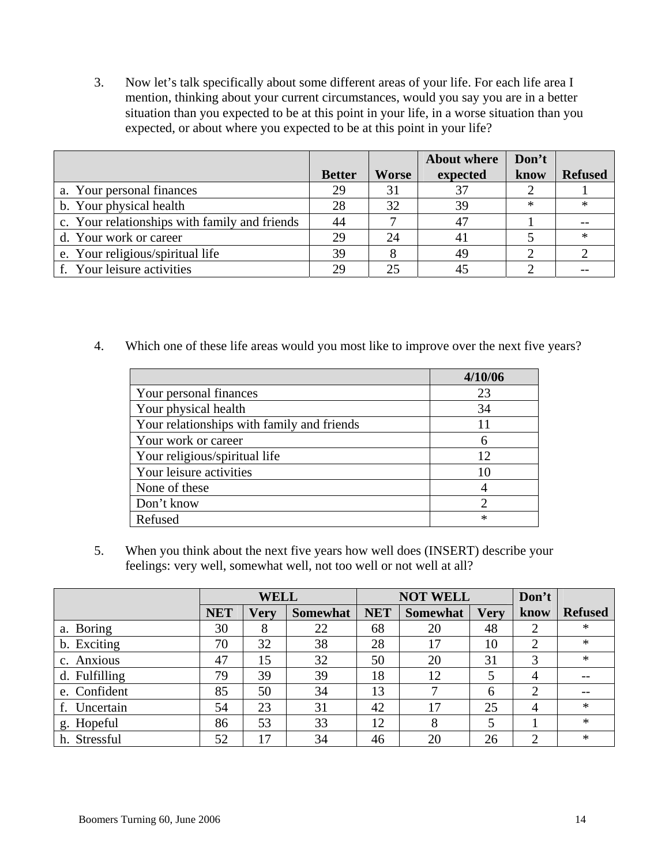3. Now let's talk specifically about some different areas of your life. For each life area I mention, thinking about your current circumstances, would you say you are in a better situation than you expected to be at this point in your life, in a worse situation than you expected, or about where you expected to be at this point in your life?

|                                               |               |              | <b>About where</b> | Don't  |                |
|-----------------------------------------------|---------------|--------------|--------------------|--------|----------------|
|                                               | <b>Better</b> | <b>Worse</b> | expected           | know   | <b>Refused</b> |
| a. Your personal finances                     | 29            | 31           | 37                 |        |                |
| b. Your physical health                       | 28            | 32           | 39                 | $\ast$ | ж              |
| c. Your relationships with family and friends | 44            |              | 47                 |        |                |
| d. Your work or career                        | 29            | 24           | 41                 |        | $\ast$         |
| e. Your religious/spiritual life              | 39            |              | 49                 |        |                |
| f. Your leisure activities                    | 29            |              | 45                 |        |                |

4. Which one of these life areas would you most like to improve over the next five years?

|                                            | 4/10/06 |
|--------------------------------------------|---------|
| Your personal finances                     | 23      |
| Your physical health                       | 34      |
| Your relationships with family and friends |         |
| Your work or career                        | h       |
| Your religious/spiritual life              | 12      |
| Your leisure activities                    |         |
| None of these                              |         |
| Don't know                                 |         |
| Refused                                    | $\ast$  |

 5. When you think about the next five years how well does (INSERT) describe your feelings: very well, somewhat well, not too well or not well at all?

|               | <b>WELL</b> |             |                 | <b>NOT WELL</b> |                 |             | Don't          |                |
|---------------|-------------|-------------|-----------------|-----------------|-----------------|-------------|----------------|----------------|
|               | <b>NET</b>  | <b>Very</b> | <b>Somewhat</b> | <b>NET</b>      | <b>Somewhat</b> | <b>Verv</b> | know           | <b>Refused</b> |
| a. Boring     | 30          | 8           | 22              | 68              | 20              | 48          | $\overline{2}$ | $\ast$         |
| b. Exciting   | 70          | 32          | 38              | 28              | 17              | 10          | $\overline{2}$ | $\ast$         |
| c. Anxious    | 47          | 15          | 32              | 50              | 20              | 31          | 3              | $\ast$         |
| d. Fulfilling | 79          | 39          | 39              | 18              | 12              |             | 4              |                |
| e. Confident  | 85          | 50          | 34              | 13              | ⇁               | 6           | 2              |                |
| f. Uncertain  | 54          | 23          | 31              | 42              | 17              | 25          | 4              | $\ast$         |
| g. Hopeful    | 86          | 53          | 33              | 12              | 8               |             |                | $\ast$         |
| h. Stressful  | 52          | 17          | 34              | 46              | 20              | 26          | 2              | $\ast$         |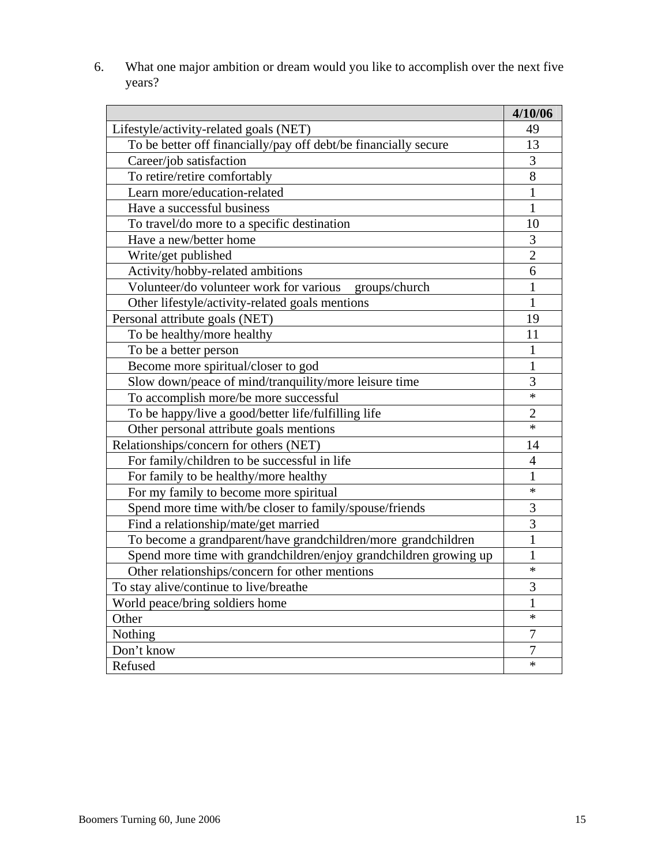6. What one major ambition or dream would you like to accomplish over the next five years?

|                                                                   | 4/10/06        |
|-------------------------------------------------------------------|----------------|
| Lifestyle/activity-related goals (NET)                            | 49             |
| To be better off financially/pay off debt/be financially secure   | 13             |
| Career/job satisfaction                                           | 3              |
| To retire/retire comfortably                                      | 8              |
| Learn more/education-related                                      | $\mathbf{1}$   |
| Have a successful business                                        | $\mathbf{1}$   |
| To travel/do more to a specific destination                       | 10             |
| Have a new/better home                                            | 3              |
| Write/get published                                               | $\overline{2}$ |
| Activity/hobby-related ambitions                                  | 6              |
| Volunteer/do volunteer work for various<br>groups/church          | $\mathbf{1}$   |
| Other lifestyle/activity-related goals mentions                   | $\mathbf{1}$   |
| Personal attribute goals (NET)                                    | 19             |
| To be healthy/more healthy                                        | 11             |
| To be a better person                                             | $\mathbf{1}$   |
| Become more spiritual/closer to god                               | $\mathbf{1}$   |
| Slow down/peace of mind/tranquility/more leisure time             | 3              |
| To accomplish more/be more successful                             | $\ast$         |
| To be happy/live a good/better life/fulfilling life               | $\overline{2}$ |
| Other personal attribute goals mentions                           | $\ast$         |
| Relationships/concern for others (NET)                            | 14             |
| For family/children to be successful in life                      | $\overline{4}$ |
| For family to be healthy/more healthy                             | $\mathbf{1}$   |
| For my family to become more spiritual                            | $\ast$         |
| Spend more time with/be closer to family/spouse/friends           | 3              |
| Find a relationship/mate/get married                              | 3              |
| To become a grandparent/have grandchildren/more grandchildren     | $\mathbf{1}$   |
| Spend more time with grandchildren/enjoy grandchildren growing up | $\mathbf{1}$   |
| Other relationships/concern for other mentions                    | $\ast$         |
| To stay alive/continue to live/breathe                            | 3              |
| World peace/bring soldiers home                                   | 1              |
| Other                                                             | $\ast$         |
| Nothing                                                           | 7              |
| Don't know                                                        | $\overline{7}$ |
| Refused                                                           | $\ast$         |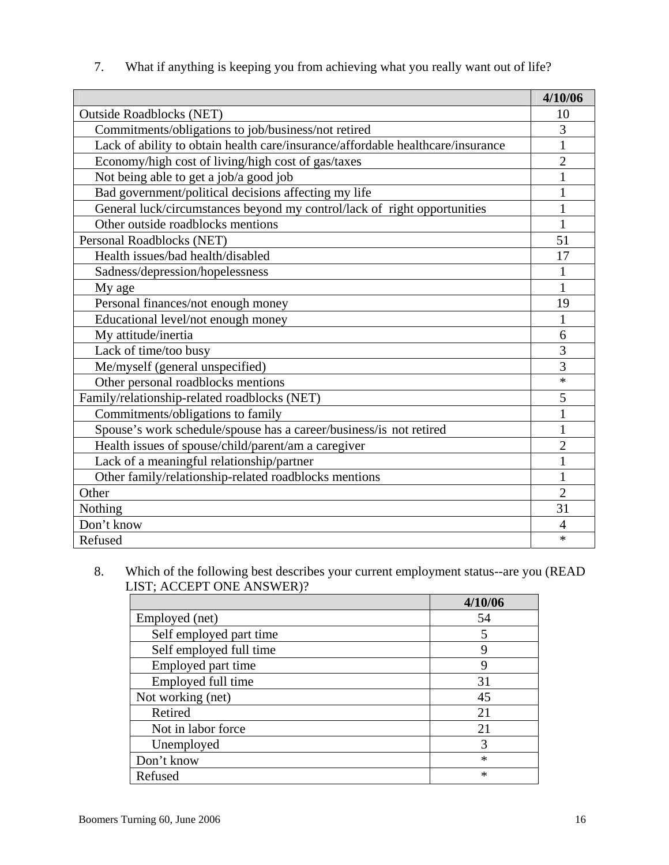| What if anything is keeping you from achieving what you really want out of life? |  |
|----------------------------------------------------------------------------------|--|
|                                                                                  |  |

|                                                                                 | 4/10/06        |
|---------------------------------------------------------------------------------|----------------|
| <b>Outside Roadblocks (NET)</b>                                                 | 10             |
| Commitments/obligations to job/business/not retired                             | 3              |
| Lack of ability to obtain health care/insurance/affordable healthcare/insurance | 1              |
| Economy/high cost of living/high cost of gas/taxes                              | $\overline{2}$ |
| Not being able to get a job/a good job                                          |                |
| Bad government/political decisions affecting my life                            |                |
| General luck/circumstances beyond my control/lack of right opportunities        | 1              |
| Other outside roadblocks mentions                                               | 1              |
| Personal Roadblocks (NET)                                                       | 51             |
| Health issues/bad health/disabled                                               | 17             |
| Sadness/depression/hopelessness                                                 | 1              |
| My age                                                                          | 1              |
| Personal finances/not enough money                                              | 19             |
| Educational level/not enough money                                              | 1              |
| My attitude/inertia                                                             | 6              |
| Lack of time/too busy                                                           | 3              |
| Me/myself (general unspecified)                                                 | 3              |
| Other personal roadblocks mentions                                              | $\ast$         |
| Family/relationship-related roadblocks (NET)                                    | 5              |
| Commitments/obligations to family                                               | $\mathbf{1}$   |
| Spouse's work schedule/spouse has a career/business/is not retired              | 1              |
| Health issues of spouse/child/parent/am a caregiver                             | $\overline{2}$ |
| Lack of a meaningful relationship/partner                                       | $\mathbf{1}$   |
| Other family/relationship-related roadblocks mentions                           | $\mathbf{1}$   |
| Other                                                                           | $\overline{2}$ |
| Nothing                                                                         | 31             |
| Don't know                                                                      | 4              |
| Refused                                                                         | *              |

#### 8. Which of the following best describes your current employment status--are you (READ LIST; ACCEPT ONE ANSWER)?

|                         | 4/10/06 |
|-------------------------|---------|
| Employed (net)          | 54      |
| Self employed part time | 5       |
| Self employed full time | Q       |
| Employed part time      |         |
| Employed full time      | 31      |
| Not working (net)       | 45      |
| Retired                 | 21      |
| Not in labor force      | 21      |
| Unemployed              | 3       |
| Don't know              | $\ast$  |
| Refused                 | *       |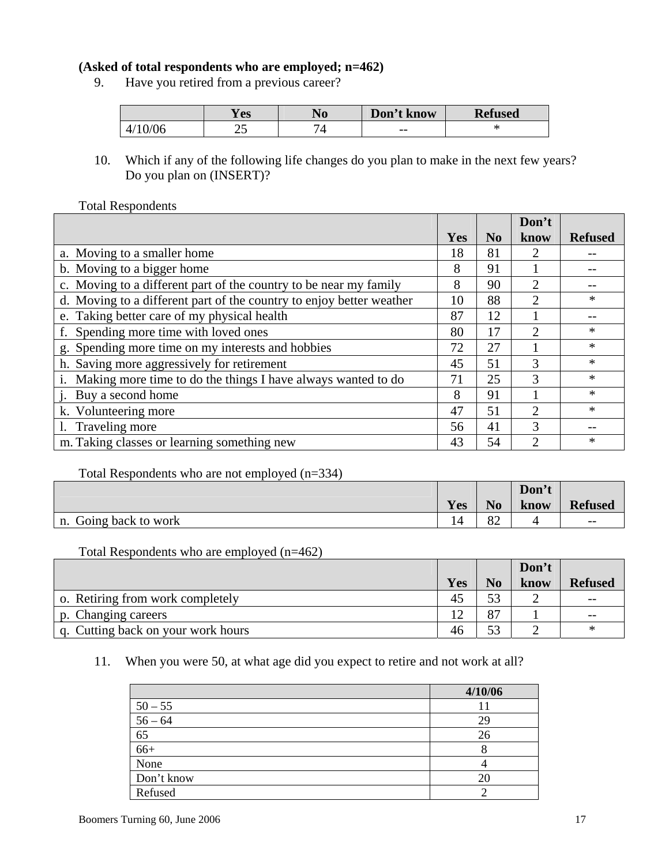#### **(Asked of total respondents who are employed; n=462)**

9. Have you retired from a previous career?

|            | <b>Y</b> es | <b>140</b> | Don't know | <b>Refused</b> |
|------------|-------------|------------|------------|----------------|
| 4/<br>)/Ub | ر_          | _          | $- -$      | œ              |

 10. Which if any of the following life changes do you plan to make in the next few years? Do you plan on (INSERT)?

#### Total Respondents

|                                                                      |     |                | Don't          |                |
|----------------------------------------------------------------------|-----|----------------|----------------|----------------|
|                                                                      | Yes | N <sub>0</sub> | know           | <b>Refused</b> |
| a. Moving to a smaller home                                          | 18  | 81             |                |                |
| b. Moving to a bigger home                                           | 8   | 91             |                |                |
| c. Moving to a different part of the country to be near my family    | 8   | 90             | 2              |                |
| d. Moving to a different part of the country to enjoy better weather | 10  | 88             | 2              | $\ast$         |
| e. Taking better care of my physical health                          | 87  | 12             |                |                |
| f. Spending more time with loved ones                                | 80  | 17             | 2              | ∗              |
| g. Spending more time on my interests and hobbies                    | 72  | 27             |                | $\ast$         |
| h. Saving more aggressively for retirement                           | 45  | 51             | 3              | $\ast$         |
| Making more time to do the things I have always wanted to do         | 71  | 25             | 3              | $\ast$         |
| j. Buy a second home                                                 | 8   | 91             |                | $\ast$         |
| k. Volunteering more                                                 | 47  | 51             | $\overline{2}$ | $\ast$         |
| Traveling more                                                       | 56  | 41             | $\mathcal{F}$  |                |
| m. Taking classes or learning something new                          | 43  | 54             | ↑              | $\ast$         |

#### Total Respondents who are not employed (n=334)

|                       |     |                | Don't |                   |
|-----------------------|-----|----------------|-------|-------------------|
|                       | Yes | N <sub>0</sub> | know  | <b>Refused</b>    |
| n. Going back to work |     | റി<br>o∠       |       | $\qquad \qquad -$ |

#### Total Respondents who are employed (n=462)

|                                    |     |                | Don't |                |
|------------------------------------|-----|----------------|-------|----------------|
|                                    | Yes | No             | know  | <b>Refused</b> |
| o. Retiring from work completely   | 45  | 53             |       | $- -$          |
| p. Changing careers                |     | Q <sub>T</sub> |       | $- -$          |
| q. Cutting back on your work hours | 46  | 53             |       | ∗              |

#### 11. When you were 50, at what age did you expect to retire and not work at all?

|                       | 4/10/06 |
|-----------------------|---------|
|                       |         |
| $\frac{50-55}{56-64}$ | 29      |
| $\overline{65}$       | 26      |
| $66+$                 |         |
| None                  |         |
| Don't know            | 20      |
| Refused               |         |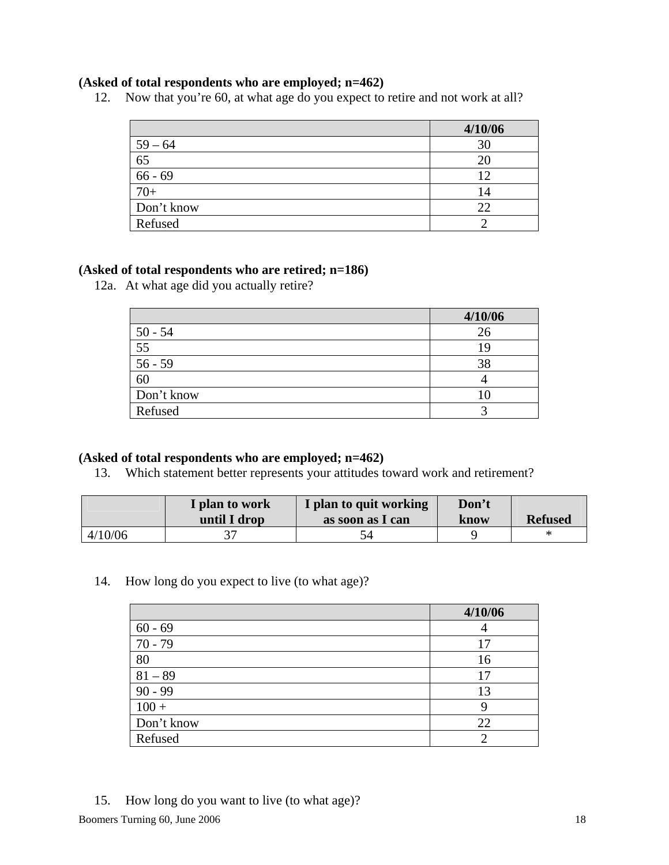#### **(Asked of total respondents who are employed; n=462)**

12. Now that you're 60, at what age do you expect to retire and not work at all?

|            | 4/10/06 |
|------------|---------|
| $59 - 64$  | 30      |
| 65         | 20      |
| $66 - 69$  | 12      |
| $70+$      | 14      |
| Don't know | 22      |
| Refused    |         |

#### **(Asked of total respondents who are retired; n=186)**

12a. At what age did you actually retire?

|            | 4/10/06 |
|------------|---------|
| $50 - 54$  | 26      |
| 55         | 1 G     |
| $56 - 59$  | 38      |
| 60         |         |
| Don't know |         |
| Refused    |         |

#### **(Asked of total respondents who are employed; n=462)**

13. Which statement better represents your attitudes toward work and retirement?

|         | I plan to work<br>until I drop | I plan to quit working<br>as soon as I can | Don't<br>know | <b>Refused</b> |
|---------|--------------------------------|--------------------------------------------|---------------|----------------|
| 4/10/06 |                                |                                            |               |                |

14. How long do you expect to live (to what age)?

|            | 4/10/06 |
|------------|---------|
| $60 - 69$  |         |
| $70 - 79$  | 17      |
| 80         | 16      |
| $81 - 89$  | 17      |
| $90 - 99$  | 13      |
| $100 +$    | q       |
| Don't know | 22      |
| Refused    | ာ       |

#### 15. How long do you want to live (to what age)?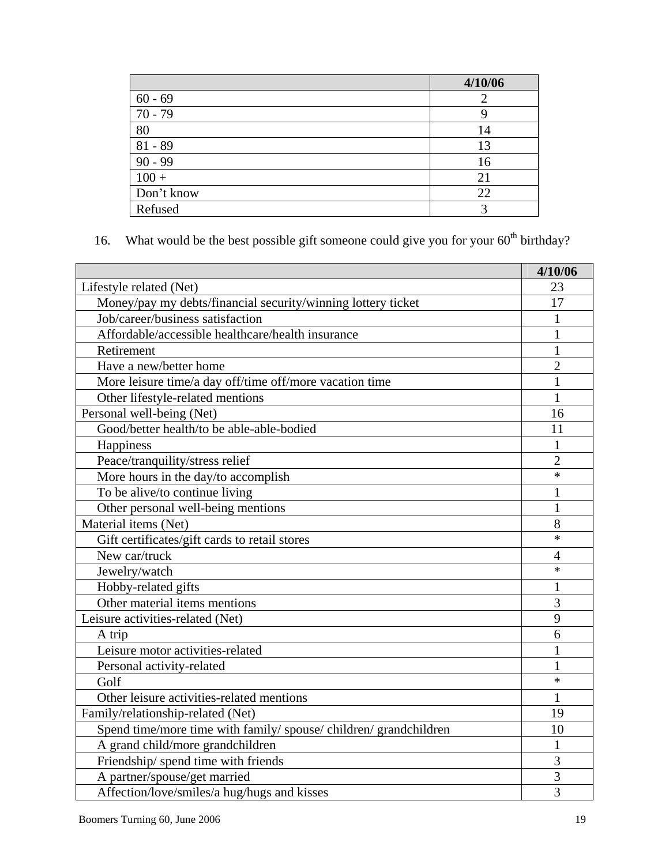|            | 4/10/06 |
|------------|---------|
| $60 - 69$  |         |
| $70 - 79$  |         |
| 80         | 14      |
| $81 - 89$  | 13      |
| $90 - 99$  | 16      |
| $100 +$    | 21      |
| Don't know | 22      |
| Refused    | р       |

16. What would be the best possible gift someone could give you for your  $60<sup>th</sup>$  birthday?

|                                                                   | 4/10/06        |
|-------------------------------------------------------------------|----------------|
| Lifestyle related (Net)                                           | 23             |
| Money/pay my debts/financial security/winning lottery ticket      | 17             |
| Job/career/business satisfaction                                  | 1              |
| Affordable/accessible healthcare/health insurance                 | $\mathbf{1}$   |
| Retirement                                                        | 1              |
| Have a new/better home                                            | $\overline{2}$ |
| More leisure time/a day off/time off/more vacation time           | 1              |
| Other lifestyle-related mentions                                  | 1              |
| Personal well-being (Net)                                         | 16             |
| Good/better health/to be able-able-bodied                         | 11             |
| Happiness                                                         | 1              |
| Peace/tranquility/stress relief                                   | $\overline{2}$ |
| More hours in the day/to accomplish                               | $\ast$         |
| To be alive/to continue living                                    | 1              |
| Other personal well-being mentions                                | 1              |
| Material items (Net)                                              | 8              |
| Gift certificates/gift cards to retail stores                     | $\ast$         |
| New car/truck                                                     | $\overline{4}$ |
| Jewelry/watch                                                     | $\ast$         |
| Hobby-related gifts                                               | 1              |
| Other material items mentions                                     | 3              |
| Leisure activities-related (Net)                                  | 9              |
| A trip                                                            | 6              |
| Leisure motor activities-related                                  |                |
| Personal activity-related                                         | 1              |
| Golf                                                              | $\ast$         |
| Other leisure activities-related mentions                         | 1              |
| Family/relationship-related (Net)                                 | 19             |
| Spend time/more time with family/ spouse/ children/ grandchildren | 10             |
| A grand child/more grandchildren                                  | 1              |
| Friendship/spend time with friends                                | 3              |
| A partner/spouse/get married                                      | 3              |
| Affection/love/smiles/a hug/hugs and kisses                       | $\overline{3}$ |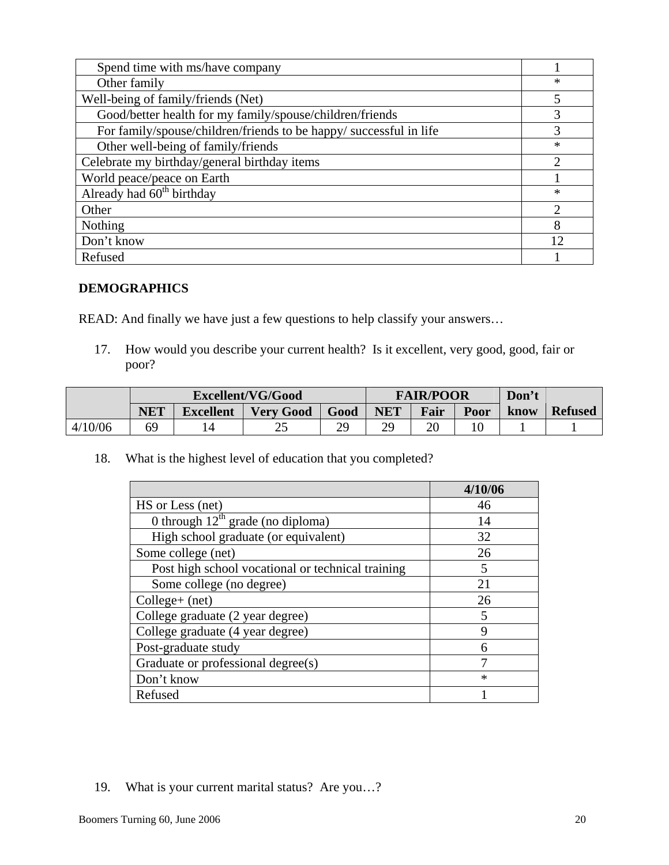| Spend time with ms/have company                                    |               |
|--------------------------------------------------------------------|---------------|
| Other family                                                       | $\ast$        |
| Well-being of family/friends (Net)                                 | 5             |
| Good/better health for my family/spouse/children/friends           | 3             |
| For family/spouse/children/friends to be happy/ successful in life | 3             |
| Other well-being of family/friends                                 | $\ast$        |
| Celebrate my birthday/general birthday items                       | ◠             |
| World peace/peace on Earth                                         |               |
| Already had $\overline{60^{th}}$ birthday                          | $\ast$        |
| Other                                                              | $\mathcal{D}$ |
| Nothing                                                            | 8             |
| Don't know                                                         | 12            |
| Refused                                                            |               |

### **DEMOGRAPHICS**

READ: And finally we have just a few questions to help classify your answers…

 17. How would you describe your current health? Is it excellent, very good, good, fair or poor?

|         | Excellent/VG/Good |                  |                  | <b>FAIR/POOR</b> |                   |      | Don't |      |                |
|---------|-------------------|------------------|------------------|------------------|-------------------|------|-------|------|----------------|
|         | <b>NET</b>        | <b>Excellent</b> | <b>Very Good</b> | Good             | <b>NET</b>        | Fair | Poor  | know | <b>Refused</b> |
| 4/10/06 | 69                | 14               | ت                | эc               | $\gamma$ C<br>ر ب | า∩   |       |      |                |

18. What is the highest level of education that you completed?

|                                                   | 4/10/06     |
|---------------------------------------------------|-------------|
| HS or Less (net)                                  | 46          |
| 0 through $12^{th}$ grade (no diploma)            | 14          |
| High school graduate (or equivalent)              | 32          |
| Some college (net)                                | 26          |
| Post high school vocational or technical training | 5           |
| Some college (no degree)                          | 21          |
| $Collect(+ (net))$                                | 26          |
| College graduate (2 year degree)                  | 5           |
| College graduate (4 year degree)                  | $\mathbf Q$ |
| Post-graduate study                               | 6           |
| Graduate or professional degree(s)                | ┑           |
| Don't know                                        | $\ast$      |
| Refused                                           |             |

#### 19. What is your current marital status? Are you…?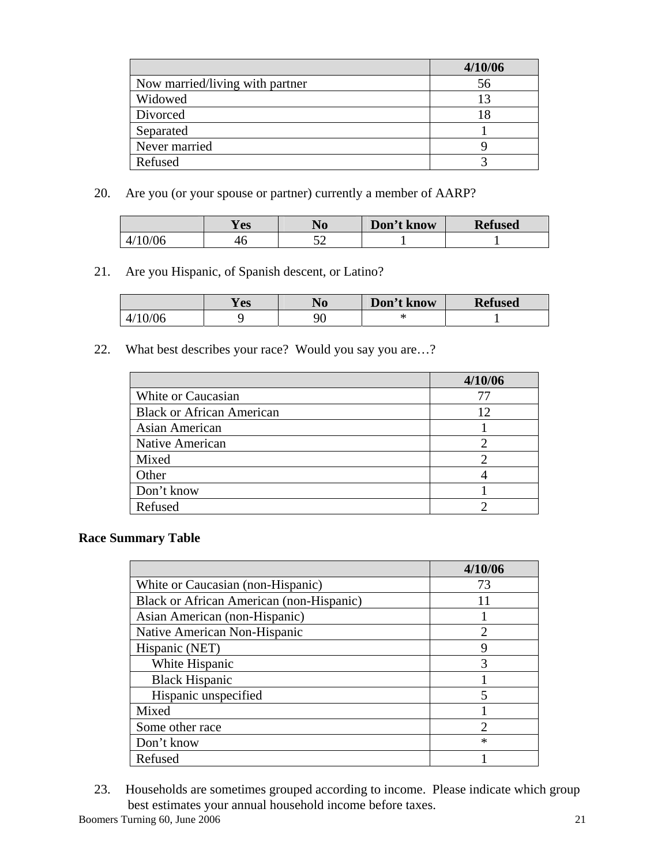|                                 | 4/10/06 |
|---------------------------------|---------|
| Now married/living with partner | 56      |
| Widowed                         | 13      |
| Divorced                        | 18      |
| Separated                       |         |
| Never married                   |         |
| Refused                         |         |

20. Are you (or your spouse or partner) currently a member of AARP?

|    | <b>Y</b> es | AO <sup>-</sup> | Don't know | <b>Refused</b> |
|----|-------------|-----------------|------------|----------------|
| 06 | 4U          | ◡               |            |                |

21. Are you Hispanic, of Spanish descent, or Latino?

|          | <b>Y</b> es | NГ<br>AV | Don't know | <b>Refused</b> |
|----------|-------------|----------|------------|----------------|
| 4/<br>U6 |             | Qſ<br>◡  |            |                |

22. What best describes your race? Would you say you are…?

|                                  | 4/10/06 |
|----------------------------------|---------|
| White or Caucasian               | 77      |
| <b>Black or African American</b> | 12      |
| Asian American                   |         |
| Native American                  |         |
| Mixed                            |         |
| Other                            |         |
| Don't know                       |         |
| Refused                          |         |

#### **Race Summary Table**

|                                          | 4/10/06       |
|------------------------------------------|---------------|
| White or Caucasian (non-Hispanic)        | 73            |
| Black or African American (non-Hispanic) | 11            |
| Asian American (non-Hispanic)            |               |
| Native American Non-Hispanic             | $\mathcal{D}$ |
| Hispanic (NET)                           | 9             |
| White Hispanic                           | 3             |
| <b>Black Hispanic</b>                    |               |
| Hispanic unspecified                     | 5             |
| Mixed                                    |               |
| Some other race                          | っ             |
| Don't know                               | $\ast$        |
| Refused                                  |               |

 23. Households are sometimes grouped according to income. Please indicate which group best estimates your annual household income before taxes.